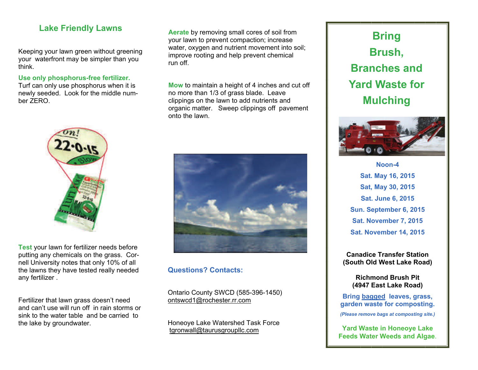### **Lake Friendly Lawns**

Keeping your lawn green without greening your waterfront may be simpler than you think.

**Use only phosphorus-free fertilizer.**  Turf can only use phosphorus when it is newly seeded. Look for the middle number ZERO.



**Test** your lawn for fertilizer needs before putting any chemicals on the grass. Cornell University notes that only 10% of all the lawns they have tested really needed any fertilizer .

Fertilizer that lawn grass doesn't need and can't use will run off in rain storms or sink to the water table and be carried to the lake by groundwater.

**Aerate** by removing small cores of soil from your lawn to prevent compaction; increase water, oxygen and nutrient movement into soil: improve rooting and help prevent chemical run off.

**Mow** to maintain a height of 4 inches and cut off no more than 1/3 of grass blade. Leave clippings on the lawn to add nutrients and organic matter. Sweep clippings off pavement onto the lawn.



#### **Questions? Contacts:**

Ontario County SWCD (585-396-1450) ontswcd1@rochester.rr.com

Honeoye Lake Watershed Task Force [tgronwall@taurusgroupllc.com](mailto:tgronwall@taurusgroupllc.com) 

# **Bring Brush, Branches and Yard Waste for Mulching**



**Noon-4 Sat. May 16, 2015 Sat, May 30, 2015 Sat. June 6, 2015 Sun. September 6, 2015 Sat. November 7, 2015 Sat. November 14, 2015** 

**Canadice Transfer Station (South Old West Lake Road)** 

> **Richmond Brush Pit (4947 East Lake Road)**

**Bring bagged leaves, grass, garden waste for composting.**  *(Please remove bags at composting site.)*

**Yard Waste in Honeoye Lake Feeds Water Weeds and Algae**.